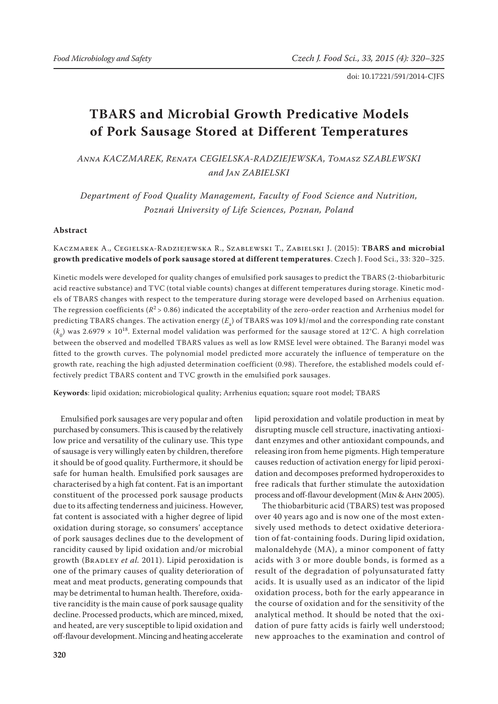# **TBARS and Microbial Growth Predicative Models of Pork Sausage Stored at Different Temperatures**

*Anna KACZMAREK, Renata CEGIELSKA-RADZIEJEWSKA, Tomasz SZABLEWSKI and Jan ZABIELSKI*

*Department of Food Quality Management, Faculty of Food Science and Nutrition, Poznań University of Life Sciences, Poznan, Poland*

### **Abstract**

# Kaczmarek A., Cegielska-Radziejewska R., Szablewski T., Zabielski J. (2015): **TBARS and microbial growth predicative models of pork sausage stored at different temperatures**. Czech J. Food Sci., 33: 320–325.

Kinetic models were developed for quality changes of emulsified pork sausages to predict the TBARS (2-thiobarbituric acid reactive substance) and TVC (total viable counts) changes at different temperatures during storage. Kinetic models of TBARS changes with respect to the temperature during storage were developed based on Arrhenius equation. The regression coefficients ( $R^2$  > 0.86) indicated the acceptability of the zero-order reaction and Arrhenius model for predicting TBARS changes. The activation energy ( $E_{\rm a}$ ) of TBARS was 109 kJ/mol and the corresponding rate constant  $(k_0)$  was 2.6979  $\times$  10<sup>18</sup>. External model validation was performed for the sausage stored at 12°C. A high correlation between the observed and modelled TBARS values as well as low RMSE level were obtained. The Baranyi model was fitted to the growth curves. The polynomial model predicted more accurately the influence of temperature on the growth rate, reaching the high adjusted determination coefficient (0.98). Therefore, the established models could effectively predict TBARS content and TVC growth in the emulsified pork sausages.

**Keywords**: lipid oxidation; microbiological quality; Arrhenius equation; square root model; TBARS

Emulsified pork sausages are very popular and often purchased by consumers. This is caused by the relatively low price and versatility of the culinary use. This type of sausage is very willingly eaten by children, therefore it should be of good quality. Furthermore, it should be safe for human health. Emulsified pork sausages are characterised by a high fat content. Fat is an important constituent of the processed pork sausage products due to its affecting tenderness and juiciness. However, fat content is associated with a higher degree of lipid oxidation during storage, so consumers' acceptance of pork sausages declines due to the development of rancidity caused by lipid oxidation and/or microbial growth (BRADLEY *et al.* 2011). Lipid peroxidation is one of the primary causes of quality deterioration of meat and meat products, generating compounds that may be detrimental to human health. Therefore, oxidative rancidity is the main cause of pork sausage quality decline. Processed products, which are minced, mixed, and heated, are very susceptible to lipid oxidation and off-flavour development. Mincing and heating accelerate

lipid peroxidation and volatile production in meat by disrupting muscle cell structure, inactivating antioxidant enzymes and other antioxidant compounds, and releasing iron from heme pigments. High temperature causes reduction of activation energy for lipid peroxidation and decomposes preformed hydroperoxides to free radicals that further stimulate the autoxidation process and off-flavour development (Min & Ahn 2005).

The thiobarbituric acid (TBARS) test was proposed over 40 years ago and is now one of the most extensively used methods to detect oxidative deterioration of fat-containing foods. During lipid oxidation, malonaldehyde (MA), a minor component of fatty acids with 3 or more double bonds, is formed as a result of the degradation of polyunsaturated fatty acids. It is usually used as an indicator of the lipid oxidation process, both for the early appearance in the course of oxidation and for the sensitivity of the analytical method. It should be noted that the oxidation of pure fatty acids is fairly well understood; new approaches to the examination and control of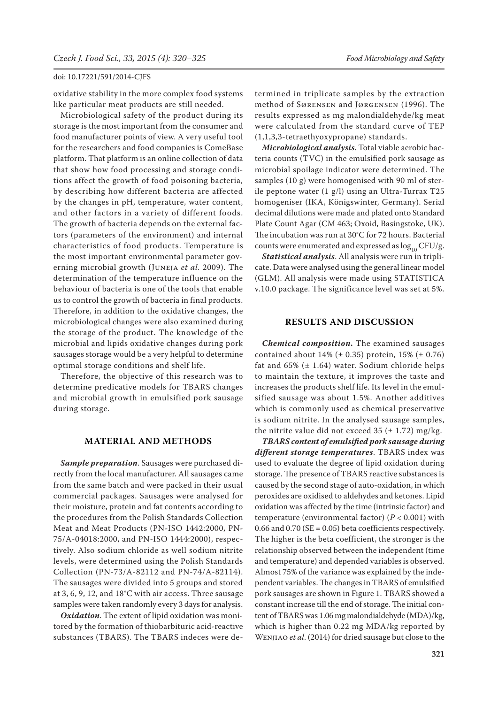oxidative stability in the more complex food systems like particular meat products are still needed.

Microbiological safety of the product during its storage is the most important from the consumer and food manufacturer points of view. A very useful tool for the researchers and food companies is ComeBase platform. That platform is an online collection of data that show how food processing and storage conditions affect the growth of food poisoning bacteria, by describing how different bacteria are affected by the changes in pH, temperature, water content, and other factors in a variety of different foods. The growth of bacteria depends on the external factors (parameters of the environment) and internal characteristics of food products. Temperature is the most important environmental parameter governing microbial growth (Juneja *et al.* 2009). The determination of the temperature influence on the behaviour of bacteria is one of the tools that enable us to control the growth of bacteria in final products. Therefore, in addition to the oxidative changes, the microbiological changes were also examined during the storage of the product. The knowledge of the microbial and lipids oxidative changes during pork sausages storage would be a very helpful to determine optimal storage conditions and shelf life.

Therefore, the objective of this research was to determine predicative models for TBARS changes and microbial growth in emulsified pork sausage during storage.

### **MATERIAL AND METHODS**

*Sample preparation*. Sausages were purchased directly from the local manufacturer. All sausages came from the same batch and were packed in their usual commercial packages. Sausages were analysed for their moisture, protein and fat contents according to the procedures from the Polish Standards Collection Meat and Meat Products (PN-ISO 1442:2000, PN-75/A-04018:2000, and PN-ISO 1444:2000), respectively. Also sodium chloride as well sodium nitrite levels, were determined using the Polish Standards Collection (PN-73/A-82112 and PN-74/A-82114). The sausages were divided into 5 groups and stored at 3, 6, 9, 12, and 18°C with air access. Three sausage samples were taken randomly every 3 days for analysis.

*Oxidation*. The extent of lipid oxidation was monitored by the formation of thiobarbituric acid-reactive substances (TBARS). The TBARS indeces were de-

termined in triplicate samples by the extraction method of Sørensen and Jørgensen (1996). The results expressed as mg malondialdehyde/kg meat were calculated from the standard curve of TEP (1,1,3,3-tetraethyoxypropane) standards.

*Microbiological analysis*. Total viable aerobic bacteria counts (TVC) in the emulsified pork sausage as microbial spoilage indicator were determined. The samples (10 g) were homogenised with 90 ml of sterile peptone water (1 g/l) using an Ultra-Turrax T25 homogeniser (IKA, Königswinter, Germany). Serial decimal dilutions were made and plated onto Standard Plate Count Agar (CM 463; Oxoid, Basingstoke, UK). The incubation was run at 30°C for 72 hours. Bacterial counts were enumerated and expressed as  $log_{10}$  CFU/g.

*Statistical analysis*. All analysis were run in triplicate. Data were analysed using the general linear model (GLM). All analysis were made using STATISTICA v.10.0 package. The significance level was set at 5%.

## **RESULTS AND DISCUSSION**

*Chemical composition***.** The examined sausages contained about  $14%$  ( $\pm$  0.35) protein,  $15%$  ( $\pm$  0.76) fat and  $65\%$  ( $\pm$  1.64) water. Sodium chloride helps to maintain the texture, it improves the taste and increases the products shelf life. Its level in the emulsified sausage was about 1.5%. Another additives which is commonly used as chemical preservative is sodium nitrite. In the analysed sausage samples, the nitrite value did not exceed 35 ( $\pm$  1.72) mg/kg.

*TBARS content of emulsified pork sausage during different storage temperatures*. TBARS index was used to evaluate the degree of lipid oxidation during storage. The presence of TBARS reactive substances is caused by the second stage of auto-oxidation, in which peroxides are oxidised to aldehydes and ketones. Lipid oxidation was affected by the time (intrinsic factor) and temperature (environmental factor) (*P* < 0.001) with 0.66 and 0.70 ( $SE = 0.05$ ) beta coefficients respectively. The higher is the beta coefficient, the stronger is the relationship observed between the independent (time and temperature) and depended variables is observed. Almost 75% of the variance was explained by the independent variables. The changes in TBARS of emulsified pork sausages are shown in Figure 1. TBARS showed a constant increase till the end of storage. The initial content of TBARS was 1.06 mg malondialdehyde (MDA)/kg, which is higher than 0.22 mg MDA/kg reported by Wenjiao *et al*. (2014) for dried sausage but close to the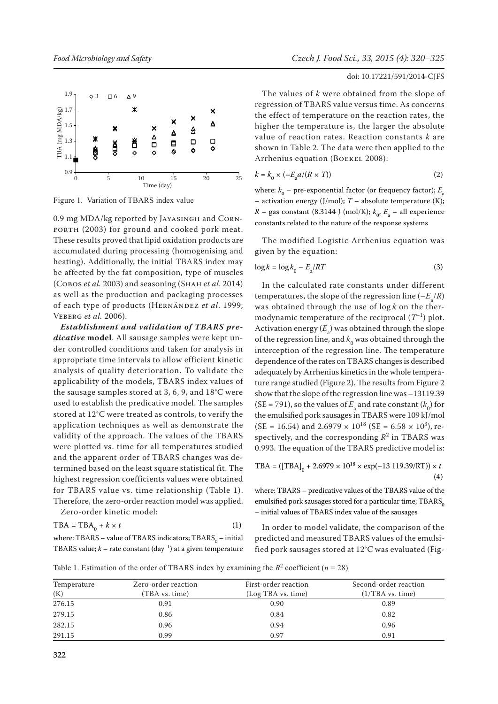



0.9 mg MDA/kg reported by Jayasingh and Corn-FORTH (2003) for ground and cooked pork meat. These results proved that lipid oxidation products are accumulated during processing (homogenising and heating). Additionally, the initial TBARS index may be affected by the fat composition, type of muscles (Cobos *et al.* 2003) and seasoning (Shah *et al*. 2014) as well as the production and packaging processes of each type of products (Hernández *et al*. 1999; Veberg *et al.* 2006).

*Establishment and validation of TBARS predicative* **model**. All sausage samples were kept under controlled conditions and taken for analysis in appropriate time intervals to allow efficient kinetic analysis of quality deterioration. To validate the applicability of the models, TBARS index values of the sausage samples stored at 3, 6, 9, and 18°C were used to establish the predicative model. The samples stored at 12°C were treated as controls, to verify the application techniques as well as demonstrate the validity of the approach. The values of the TBARS were plotted vs. time for all temperatures studied and the apparent order of TBARS changes was determined based on the least square statistical fit. The highest regression coefficients values were obtained for TBARS value vs. time relationship (Table 1). Therefore, the zero-order reaction model was applied.

$$
TBA = TBA_0 + k \times t \tag{1}
$$

Zero-order kinetic model:

```
where: TBARS – value of TBARS indicators; \mathrm{TBARS}_0 – initial
TBARS value; k – rate constant (day−1) at a given temperature
```
## doi: 10.17221/591/2014-CJFS

The values of *k* were obtained from the slope of regression of TBARS value versus time. As concerns the effect of temperature on the reaction rates, the higher the temperature is, the larger the absolute value of reaction rates. Reaction constants *k* are shown in Table 2. The data were then applied to the Arrhenius equation (BOEKEL 2008):

$$
k = k_0 \times (-E_a a / (R \times T))
$$
 (2)

where:  $k_{0}^{}$  – pre-exponential factor (or frequency factor);  $E_{\scriptscriptstyle a}^{}$ – activation energy (J/mol); *T* – absolute temperature (K);  $R$  – gas constant (8.3144 J (mol/K);  $k_{0}$ ,  $E_{\rm a}$  – all experience constants related to the nature of the response systems

The modified Logistic Arrhenius equation was given by the equation:

$$
\log k = \log k_0 - E_a / RT \tag{3}
$$

In the calculated rate constants under different temperatures, the slope of the regression line  $(-E_a/R)$ was obtained through the use of log *k* on the thermodynamic temperature of the reciprocal  $(T^{-1})$  plot. Activation energy  $(E_{\rm a})$  was obtained through the slope of the regression line, and  $k_0$  was obtained through the interception of the regression line. The temperature dependence of the rates on TBARS changes is described adequately by Arrhenius kinetics in the whole temperature range studied (Figure 2). The results from Figure 2 show that the slope of the regression line was –13119.39 (SE = 791), so the values of  $E_{\rm a}$  and rate constant ( $k_0$ ) for the emulsified pork sausages in TBARS were 109 kJ/mol  $(SE = 16.54)$  and  $2.6979 \times 10^{18}$   $(SE = 6.58 \times 10^3)$ , respectively, and the corresponding  $R^2$  in TBARS was 0.993. The equation of the TBARS predictive model is:

$$
TBA = ([TBA]_0 + 2.6979 \times 10^{18} \times \exp(-13\ 119.39/RT)) \times t
$$
\n(4)

where: TBARS – predicative values of the TBARS value of the emulsified pork sausages stored for a particular time;  $TBARS<sub>0</sub>$ – initial values of TBARS index value of the sausages

In order to model validate, the comparison of the predicted and measured TBARS values of the emulsified pork sausages stored at 12°C was evaluated (Fig-

Table 1. Estimation of the order of TBARS index by examining the  $R^2$  coefficient ( $n = 28$ )

| Temperature<br>(K) | Zero-order reaction<br>(TBA vs. time) | First-order reaction<br>(Log TBA vs. time) | Second-order reaction<br>(1/TBA vs. time) |
|--------------------|---------------------------------------|--------------------------------------------|-------------------------------------------|
| 276.15             | 0.91                                  | 0.90                                       | 0.89                                      |
|                    |                                       |                                            |                                           |
| 279.15             | 0.86                                  | 0.84                                       | 0.82                                      |
| 282.15             | 0.96                                  | 0.94                                       | 0.96                                      |
| 291.15             | 0.99                                  | 0.97                                       | 0.91                                      |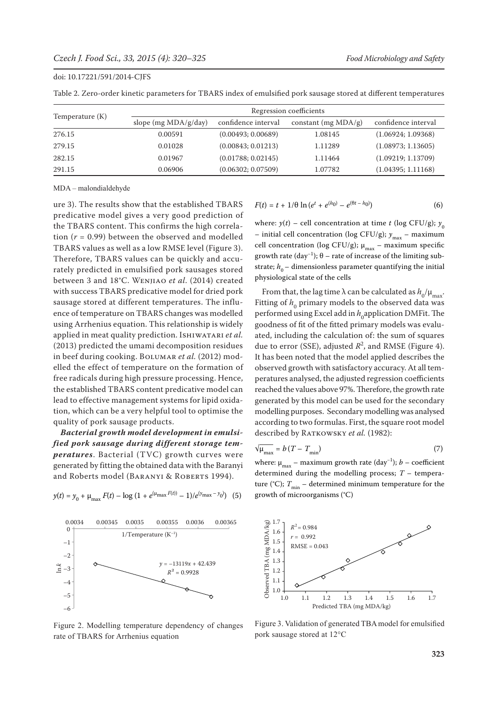|                 | Regression coefficients |                     |                        |                     |
|-----------------|-------------------------|---------------------|------------------------|---------------------|
| Temperature (K) | slope (mg $MDA/g/day$ ) | confidence interval | constant (mg $MDA/g$ ) | confidence interval |
| 276.15          | 0.00591                 | (0.00493; 0.00689)  | 1.08145                | (1.06924; 1.09368)  |
| 279.15          | 0.01028                 | (0.00843; 0.01213)  | 1.11289                | (1.08973; 1.13605)  |
| 282.15          | 0.01967                 | (0.01788; 0.02145)  | 1.11464                | (1.09219; 1.13709)  |
| 291.15          | 0.06906                 | (0.06302; 0.07509)  | 1.07782                | (1.04395; 1.11168)  |

Table 2. Zero-order kinetic parameters for TBARS index of emulsified pork sausage stored at different temperatures

MDA – malondialdehyde

ure 3). The results show that the established TBARS predicative model gives a very good prediction of the TBARS content. This confirms the high correlation (*r* = 0.99) between the observed and modelled TBARS values as well as a low RMSE level (Figure 3). Therefore, TBARS values can be quickly and accurately predicted in emulsified pork sausages stored between 3 and 18°C. Wenjiao *et al*. (2014) created with success TBARS predicative model for dried pork sausage stored at different temperatures. The influence of temperature on TBARS changes was modelled using Arrhenius equation. This relationship is widely applied in meat quality prediction. Ishiwatari *et al.* (2013) predicted the umami decomposition residues in beef during cooking. Bolumar *et al.* (2012) modelled the effect of temperature on the formation of free radicals during high pressure processing. Hence, the established TBARS content predicative model can lead to effective management systems for lipid oxidation, which can be a very helpful tool to optimise the quality of pork sausage products.

*Bacterial growth model development in emulsified pork sausage during different storage temperatures*. Bacterial (TVC) growth curves were generated by fitting the obtained data with the Baranyi and Roberts model (BARANYI & ROBERTS 1994).



 $y(t) = y_0 + \mu_{\text{max}} F(t) - \log (1 + e^{(\mu_{\text{max}} F(t))} - 1)/e^{(\nu_{\text{max}} - \nu_0)}$  (5)



$$
F(t) = t + 1/\theta \ln(e^t + e^{(h_0)} - e^{(\theta t - h_0)})
$$
 (6)

where:  $y(t)$  – cell concentration at time *t* (log CFU/g);  $y_0$ – initial cell concentration (log CFU/g);  $y_{\text{max}}$  – maximum cell concentration (log CFU/g);  $\mu_{\text{max}}$  – maximum specific growth rate (day<sup>-1</sup>);  $\theta$  – rate of increase of the limiting substrate;  $h_0$  – dimensionless parameter quantifying the initial physiological state of the cells

From that, the lag time  $\lambda$  can be calculated as  $h_0/\mu_{\text{max}}$ . Fitting of  $h_0$  primary models to the observed data was performed using Excel add in *h*<sub>0</sub>application DMFit. The goodness of fit of the fitted primary models was evaluated, including the calculation of: the sum of squares due to error (SSE), adjusted  $R^2$ , and RMSE (Figure 4). It has been noted that the model applied describes the observed growth with satisfactory accuracy. At all temperatures analysed, the adjusted regression coefficients reached the values above 97%. Therefore, the growth rate generated by this model can be used for the secondary modelling purposes. Secondary modelling was analysed according to two formulas. First, the square root model described by RATKOWSKY et al. (1982):

$$
\sqrt{\mu_{\text{max}}} = b \left( T - T_{\text{min}} \right) \tag{7}
$$

where:  $\mu_{\text{max}}$  – maximum growth rate (day<sup>-1</sup>); *b* – coefficient determined during the modelling process; *T* – temperature (°C);  $T_{\text{min}}$  – determined minimum temperature for the growth of microorganisms (°C)



Figure 3. Validation of generated TBA model for emulsified pork sausage stored at 12°C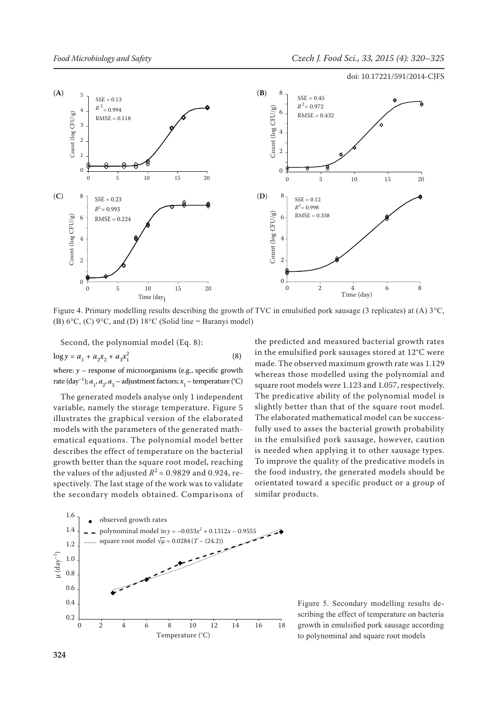

Figure 4. Primary modelling results describing the growth of TVC in emulsified pork sausage (3 replicates) at (A) 3°C, (B)  $6^{\circ}$ C, (C)  $9^{\circ}$ C, and (D)  $18^{\circ}$ C (Solid line = Baranyi model)

Second, the polynomial model (Eq. 8):

$$
\log y = a_1 + a_2 x_2 + a_3 x_1^2 \tag{8}
$$

where: *y* – response of microorganisms (e.g., specific growth rate (day<sup>−1</sup>); *a*<sub>1</sub>, *a*<sub>2</sub>, *a*<sub>3</sub> – adjustment factors; *x*<sub>1</sub> – temperature (°C)

The generated models analyse only 1 independent variable, namely the storage temperature. Figure 5 illustrates the graphical version of the elaborated models with the parameters of the generated mathematical equations. The polynomial model better describes the effect of temperature on the bacterial growth better than the square root model, reaching the values of the adjusted  $R^2$  = 0.9829 and 0.924, respectively. The last stage of the work was to validate the secondary models obtained. Comparisons of the predicted and measured bacterial growth rates in the emulsified pork sausages stored at 12°C were made. The observed maximum growth rate was 1.129 whereas those modelled using the polynomial and square root models were 1.123 and 1.057, respectively. The predicative ability of the polynomial model is slightly better than that of the square root model. The elaborated mathematical model can be successfully used to asses the bacterial growth probability in the emulsified pork sausage, however, caution is needed when applying it to other sausage types. To improve the quality of the predicative models in the food industry, the generated models should be orientated toward a specific product or a group of similar products.



Figure 5. Secondary modelling results describing the effect of temperature on bacteria growth in emulsified pork sausage according to polynominal and square root models